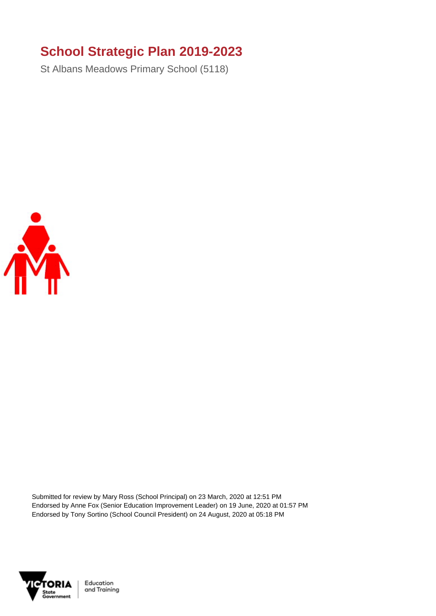### **School Strategic Plan 2019-2023**

St Albans Meadows Primary School (5118)



Submitted for review by Mary Ross (School Principal) on 23 March, 2020 at 12:51 PM Endorsed by Anne Fox (Senior Education Improvement Leader) on 19 June, 2020 at 01:57 PM Endorsed by Tony Sortino (School Council President) on 24 August, 2020 at 05:18 PM



Education and Training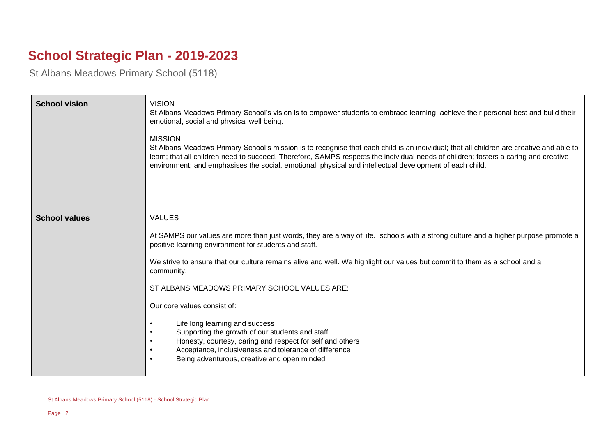# **School Strategic Plan - 2019-2023**

St Albans Meadows Primary School (5118)

| <b>School vision</b> | <b>VISION</b><br>St Albans Meadows Primary School's vision is to empower students to embrace learning, achieve their personal best and build their<br>emotional, social and physical well being.<br><b>MISSION</b><br>St Albans Meadows Primary School's mission is to recognise that each child is an individual; that all children are creative and able to<br>learn; that all children need to succeed. Therefore, SAMPS respects the individual needs of children; fosters a caring and creative<br>environment; and emphasises the social, emotional, physical and intellectual development of each child. |
|----------------------|-----------------------------------------------------------------------------------------------------------------------------------------------------------------------------------------------------------------------------------------------------------------------------------------------------------------------------------------------------------------------------------------------------------------------------------------------------------------------------------------------------------------------------------------------------------------------------------------------------------------|
| <b>School values</b> | <b>VALUES</b>                                                                                                                                                                                                                                                                                                                                                                                                                                                                                                                                                                                                   |
|                      | At SAMPS our values are more than just words, they are a way of life. schools with a strong culture and a higher purpose promote a<br>positive learning environment for students and staff.                                                                                                                                                                                                                                                                                                                                                                                                                     |
|                      | We strive to ensure that our culture remains alive and well. We highlight our values but commit to them as a school and a<br>community.                                                                                                                                                                                                                                                                                                                                                                                                                                                                         |
|                      | ST ALBANS MEADOWS PRIMARY SCHOOL VALUES ARE:                                                                                                                                                                                                                                                                                                                                                                                                                                                                                                                                                                    |
|                      | Our core values consist of:                                                                                                                                                                                                                                                                                                                                                                                                                                                                                                                                                                                     |
|                      | Life long learning and success<br>Supporting the growth of our students and staff<br>Honesty, courtesy, caring and respect for self and others<br>Acceptance, inclusiveness and tolerance of difference<br>Being adventurous, creative and open minded                                                                                                                                                                                                                                                                                                                                                          |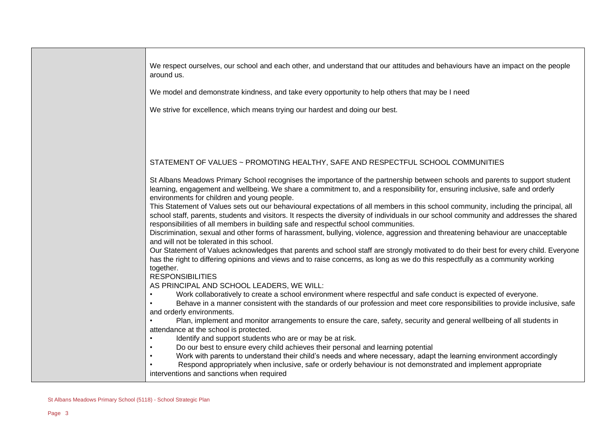We respect ourselves, our school and each other, and understand that our attitudes and behaviours have an impact on the people around us.

We model and demonstrate kindness, and take every opportunity to help others that may be I need

We strive for excellence, which means trying our hardest and doing our best.

### STATEMENT OF VALUES ~ PROMOTING HEALTHY, SAFE AND RESPECTFUL SCHOOL COMMUNITIES

St Albans Meadows Primary School recognises the importance of the partnership between schools and parents to support student learning, engagement and wellbeing. We share a commitment to, and a responsibility for, ensuring inclusive, safe and orderly environments for children and young people.

This Statement of Values sets out our behavioural expectations of all members in this school community, including the principal, all school staff, parents, students and visitors. It respects the diversity of individuals in our school community and addresses the shared responsibilities of all members in building safe and respectful school communities.

Discrimination, sexual and other forms of harassment, bullying, violence, aggression and threatening behaviour are unacceptable and will not be tolerated in this school.

Our Statement of Values acknowledges that parents and school staff are strongly motivated to do their best for every child. Everyone has the right to differing opinions and views and to raise concerns, as long as we do this respectfully as a community working together.

#### RESPONSIBILITIES

AS PRINCIPAL AND SCHOOL LEADERS, WE WILL:

• Work collaboratively to create a school environment where respectful and safe conduct is expected of everyone.

• Behave in a manner consistent with the standards of our profession and meet core responsibilities to provide inclusive, safe and orderly environments.

• Plan, implement and monitor arrangements to ensure the care, safety, security and general wellbeing of all students in attendance at the school is protected.

- Identify and support students who are or may be at risk.
- Do our best to ensure every child achieves their personal and learning potential
- Work with parents to understand their child's needs and where necessary, adapt the learning environment accordingly

• Respond appropriately when inclusive, safe or orderly behaviour is not demonstrated and implement appropriate interventions and sanctions when required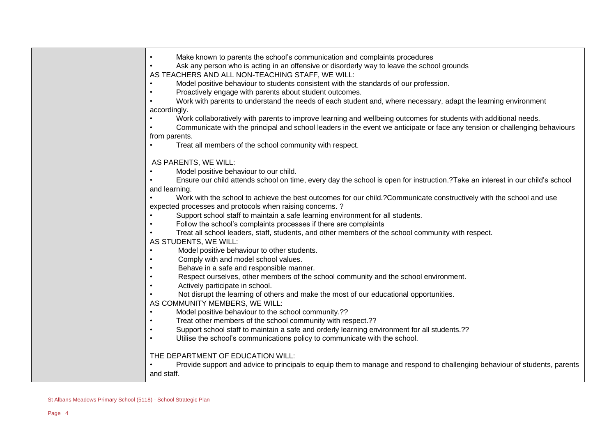| Make known to parents the school's communication and complaints procedures<br>$\bullet$                                       |
|-------------------------------------------------------------------------------------------------------------------------------|
| Ask any person who is acting in an offensive or disorderly way to leave the school grounds                                    |
| AS TEACHERS AND ALL NON-TEACHING STAFF, WE WILL:                                                                              |
| Model positive behaviour to students consistent with the standards of our profession.<br>$\bullet$                            |
| Proactively engage with parents about student outcomes.<br>$\bullet$                                                          |
| Work with parents to understand the needs of each student and, where necessary, adapt the learning environment                |
| accordingly.                                                                                                                  |
| Work collaboratively with parents to improve learning and wellbeing outcomes for students with additional needs.              |
| Communicate with the principal and school leaders in the event we anticipate or face any tension or challenging behaviours    |
| from parents.                                                                                                                 |
| Treat all members of the school community with respect.                                                                       |
| AS PARENTS, WE WILL:                                                                                                          |
| Model positive behaviour to our child.                                                                                        |
| Ensure our child attends school on time, every day the school is open for instruction.?Take an interest in our child's school |
| and learning.                                                                                                                 |
| Work with the school to achieve the best outcomes for our child.?Communicate constructively with the school and use           |
| expected processes and protocols when raising concerns. ?                                                                     |
| Support school staff to maintain a safe learning environment for all students.                                                |
| Follow the school's complaints processes if there are complaints<br>$\bullet$                                                 |
| Treat all school leaders, staff, students, and other members of the school community with respect.                            |
| AS STUDENTS, WE WILL:                                                                                                         |
| Model positive behaviour to other students.<br>$\bullet$<br>Comply with and model school values.<br>$\bullet$                 |
| Behave in a safe and responsible manner.<br>$\bullet$                                                                         |
| Respect ourselves, other members of the school community and the school environment.<br>$\bullet$                             |
| Actively participate in school.<br>$\bullet$                                                                                  |
| Not disrupt the learning of others and make the most of our educational opportunities.                                        |
| AS COMMUNITY MEMBERS, WE WILL:                                                                                                |
| Model positive behaviour to the school community.??<br>$\bullet$                                                              |
| Treat other members of the school community with respect.??<br>$\bullet$                                                      |
| Support school staff to maintain a safe and orderly learning environment for all students.??<br>$\bullet$                     |
| Utilise the school's communications policy to communicate with the school.<br>$\bullet$                                       |
| THE DEPARTMENT OF EDUCATION WILL:                                                                                             |
| Provide support and advice to principals to equip them to manage and respond to challenging behaviour of students, parents    |
| and staff.                                                                                                                    |
|                                                                                                                               |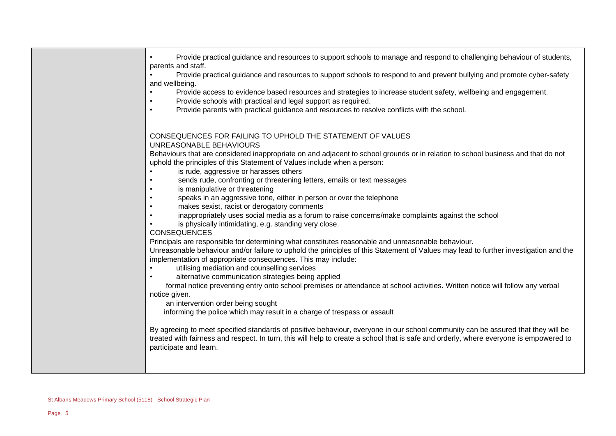| CONSEQUENCES FOR FAILING TO UPHOLD THE STATEMENT OF VALUES<br>UNREASONABLE BEHAVIOURS<br>Behaviours that are considered inappropriate on and adjacent to school grounds or in relation to school business and that do not                                                                                                                                                                                                                                                                                                                                                                                                                                                                                                                                                                                                                                                                                                                                                                                                                                                                                                                                                                                                                                                                                                                                       | $\bullet$<br>$\bullet$<br>$\bullet$ | Provide practical guidance and resources to support schools to manage and respond to challenging behaviour of students,<br>parents and staff.<br>Provide practical guidance and resources to support schools to respond to and prevent bullying and promote cyber-safety<br>and wellbeing.<br>Provide access to evidence based resources and strategies to increase student safety, wellbeing and engagement.<br>Provide schools with practical and legal support as required.<br>Provide parents with practical guidance and resources to resolve conflicts with the school. |
|-----------------------------------------------------------------------------------------------------------------------------------------------------------------------------------------------------------------------------------------------------------------------------------------------------------------------------------------------------------------------------------------------------------------------------------------------------------------------------------------------------------------------------------------------------------------------------------------------------------------------------------------------------------------------------------------------------------------------------------------------------------------------------------------------------------------------------------------------------------------------------------------------------------------------------------------------------------------------------------------------------------------------------------------------------------------------------------------------------------------------------------------------------------------------------------------------------------------------------------------------------------------------------------------------------------------------------------------------------------------|-------------------------------------|-------------------------------------------------------------------------------------------------------------------------------------------------------------------------------------------------------------------------------------------------------------------------------------------------------------------------------------------------------------------------------------------------------------------------------------------------------------------------------------------------------------------------------------------------------------------------------|
| is rude, aggressive or harasses others<br>$\bullet$<br>sends rude, confronting or threatening letters, emails or text messages<br>is manipulative or threatening<br>speaks in an aggressive tone, either in person or over the telephone<br>makes sexist, racist or derogatory comments<br>inappropriately uses social media as a forum to raise concerns/make complaints against the school<br>is physically intimidating, e.g. standing very close.<br><b>CONSEQUENCES</b><br>Principals are responsible for determining what constitutes reasonable and unreasonable behaviour.<br>implementation of appropriate consequences. This may include:<br>utilising mediation and counselling services<br>$\bullet$<br>alternative communication strategies being applied<br>$\bullet$<br>formal notice preventing entry onto school premises or attendance at school activities. Written notice will follow any verbal<br>notice given.<br>an intervention order being sought<br>informing the police which may result in a charge of trespass or assault<br>By agreeing to meet specified standards of positive behaviour, everyone in our school community can be assured that they will be<br>treated with fairness and respect. In turn, this will help to create a school that is safe and orderly, where everyone is empowered to<br>participate and learn. |                                     | uphold the principles of this Statement of Values include when a person:<br>Unreasonable behaviour and/or failure to uphold the principles of this Statement of Values may lead to further investigation and the                                                                                                                                                                                                                                                                                                                                                              |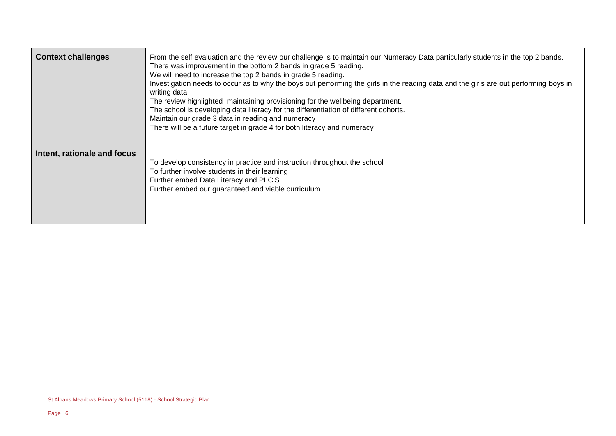| <b>Context challenges</b>   | From the self evaluation and the review our challenge is to maintain our Numeracy Data particularly students in the top 2 bands.<br>There was improvement in the bottom 2 bands in grade 5 reading.<br>We will need to increase the top 2 bands in grade 5 reading.<br>Investigation needs to occur as to why the boys out performing the girls in the reading data and the girls are out performing boys in<br>writing data.<br>The review highlighted maintaining provisioning for the wellbeing department.<br>The school is developing data literacy for the differentiation of different cohorts.<br>Maintain our grade 3 data in reading and numeracy<br>There will be a future target in grade 4 for both literacy and numeracy |
|-----------------------------|----------------------------------------------------------------------------------------------------------------------------------------------------------------------------------------------------------------------------------------------------------------------------------------------------------------------------------------------------------------------------------------------------------------------------------------------------------------------------------------------------------------------------------------------------------------------------------------------------------------------------------------------------------------------------------------------------------------------------------------|
| Intent, rationale and focus | To develop consistency in practice and instruction throughout the school<br>To further involve students in their learning<br>Further embed Data Literacy and PLC'S<br>Further embed our guaranteed and viable curriculum                                                                                                                                                                                                                                                                                                                                                                                                                                                                                                               |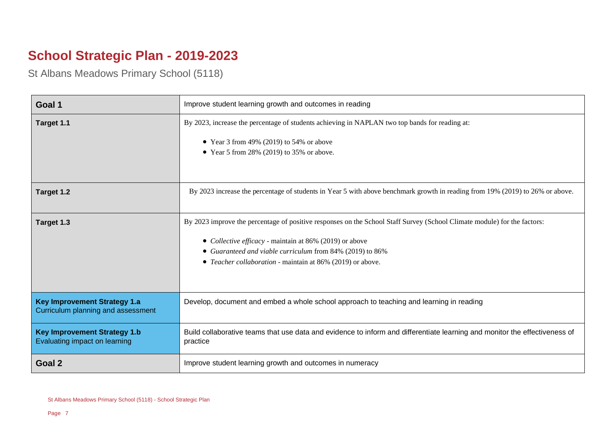# **School Strategic Plan - 2019-2023**

St Albans Meadows Primary School (5118)

| Goal 1                                                                    | Improve student learning growth and outcomes in reading                                                                                |
|---------------------------------------------------------------------------|----------------------------------------------------------------------------------------------------------------------------------------|
| Target 1.1                                                                | By 2023, increase the percentage of students achieving in NAPLAN two top bands for reading at:                                         |
|                                                                           | • Year 3 from 49% (2019) to 54% or above                                                                                               |
|                                                                           | • Year 5 from 28% (2019) to 35% or above.                                                                                              |
|                                                                           |                                                                                                                                        |
| Target 1.2                                                                | By 2023 increase the percentage of students in Year 5 with above benchmark growth in reading from 19% (2019) to 26% or above.          |
| Target 1.3                                                                | By 2023 improve the percentage of positive responses on the School Staff Survey (School Climate module) for the factors:               |
|                                                                           |                                                                                                                                        |
|                                                                           | • Collective efficacy - maintain at 86% (2019) or above                                                                                |
|                                                                           | • Guaranteed and viable curriculum from 84% (2019) to 86%<br>• Teacher collaboration - maintain at 86% (2019) or above.                |
|                                                                           |                                                                                                                                        |
|                                                                           |                                                                                                                                        |
| <b>Key Improvement Strategy 1.a</b><br>Curriculum planning and assessment | Develop, document and embed a whole school approach to teaching and learning in reading                                                |
| <b>Key Improvement Strategy 1.b</b><br>Evaluating impact on learning      | Build collaborative teams that use data and evidence to inform and differentiate learning and monitor the effectiveness of<br>practice |
| Goal 2                                                                    | Improve student learning growth and outcomes in numeracy                                                                               |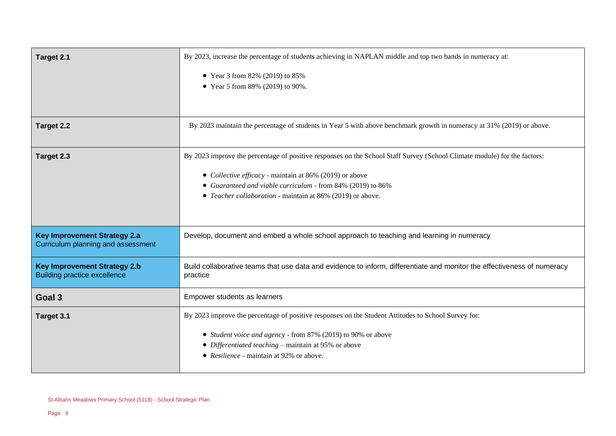| Target 2.1                                                                 | By 2023, increase the percentage of students achieving in NAPLAN middle and top two bands in numeracy at:                           |
|----------------------------------------------------------------------------|-------------------------------------------------------------------------------------------------------------------------------------|
|                                                                            | • Year 3 from 82% (2019) to 85%<br>• Year 5 from 89% (2019) to 90%.                                                                 |
| Target 2.2                                                                 | By 2023 maintain the percentage of students in Year 5 with above benchmark growth in numeracy at 31% (2019) or above.               |
| Target 2.3                                                                 | By 2023 improve the percentage of positive responses on the School Staff Survey (School Climate module) for the factors:            |
|                                                                            | • Collective efficacy - maintain at 86% (2019) or above                                                                             |
|                                                                            | • Guaranteed and viable curriculum - from 84% (2019) to 86%                                                                         |
|                                                                            | • Teacher collaboration - maintain at 86% (2019) or above.                                                                          |
| <b>Key Improvement Strategy 2.a</b><br>Curriculum planning and assessment  | Develop, document and embed a whole school approach to teaching and learning in numeracy                                            |
| <b>Key Improvement Strategy 2.b</b><br><b>Building practice excellence</b> | Build collaborative teams that use data and evidence to inform, differentiate and monitor the effectiveness of numeracy<br>practice |
| Goal 3                                                                     | Empower students as learners                                                                                                        |
| Target 3.1                                                                 | By 2023 improve the percentage of positive responses on the Student Attitudes to School Survey for:                                 |
|                                                                            | • Student voice and agency - from 87% (2019) to 90% or above                                                                        |
|                                                                            | • Differentiated teaching – maintain at 95% or above                                                                                |
|                                                                            | • Resilience - maintain at 92% or above.                                                                                            |
|                                                                            |                                                                                                                                     |